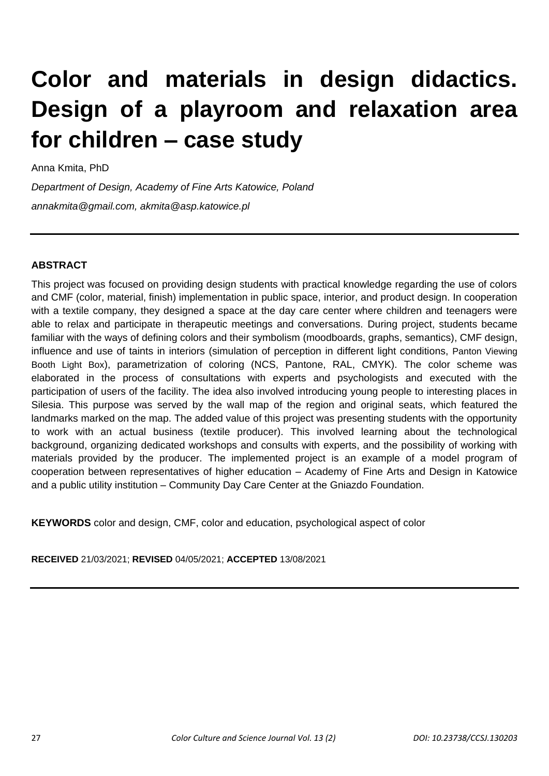# **Color and materials in design didactics. Design of a playroom and relaxation area for children – case study**

Anna Kmita, PhD

*Department of Design, Academy of Fine Arts Katowice, Poland annakmita@gmail.com, akmita@asp.katowice.pl*

### **ABSTRACT**

This project was focused on providing design students with practical knowledge regarding the use of colors and CMF (color, material, finish) implementation in public space, interior, and product design. In cooperation with a textile company, they designed a space at the day care center where children and teenagers were able to relax and participate in therapeutic meetings and conversations. During project, students became familiar with the ways of defining colors and their symbolism (moodboards, graphs, semantics), CMF design, influence and use of taints in interiors (simulation of perception in different light conditions, Panton Viewing Booth Light Box), parametrization of coloring (NCS, Pantone, RAL, CMYK). The color scheme was elaborated in the process of consultations with experts and psychologists and executed with the participation of users of the facility. The idea also involved introducing young people to interesting places in Silesia. This purpose was served by the wall map of the region and original seats, which featured the landmarks marked on the map. The added value of this project was presenting students with the opportunity to work with an actual business (textile producer). This involved learning about the technological background, organizing dedicated workshops and consults with experts, and the possibility of working with materials provided by the producer. The implemented project is an example of a model program of cooperation between representatives of higher education – Academy of Fine Arts and Design in Katowice and a public utility institution – Community Day Care Center at the Gniazdo Foundation.

**KEYWORDS** color and design, CMF, color and education, psychological aspect of color

**RECEIVED** 21/03/2021; **REVISED** 04/05/2021; **ACCEPTED** 13/08/2021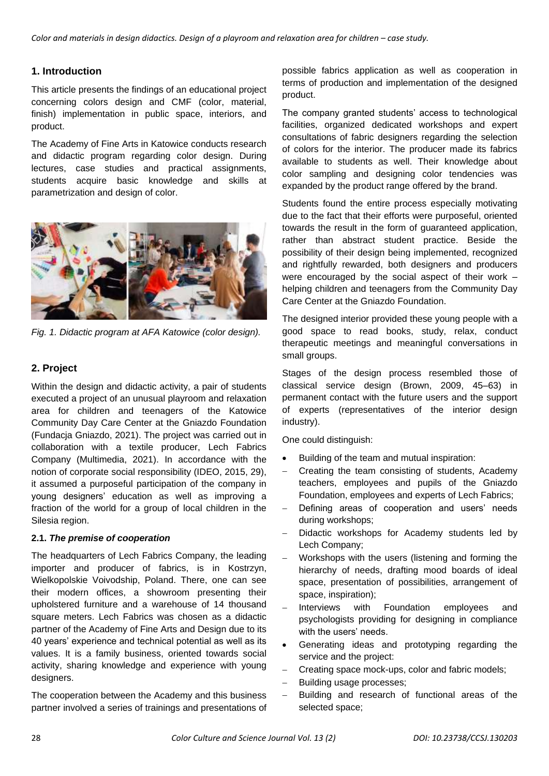*Color and materials in design didactics. Design of a playroom and relaxation area for children – case study.* 

### **1. Introduction**

This article presents the findings of an educational project concerning colors design and CMF (color, material, finish) implementation in public space, interiors, and product.

The Academy of Fine Arts in Katowice conducts research and didactic program regarding color design. During lectures, case studies and practical assignments, students acquire basic knowledge and skills at parametrization and design of color.



*Fig. 1. Didactic program at AFA Katowice (color design).*

## **2. Project**

Within the design and didactic activity, a pair of students executed a project of an unusual playroom and relaxation area for children and teenagers of the Katowice Community Day Care Center at the Gniazdo Foundation (Fundacja Gniazdo, 2021). The project was carried out in collaboration with a textile producer, Lech Fabrics Company (Multimedia, 2021). In accordance with the notion of corporate social responsibility (IDEO, 2015, 29), it assumed a purposeful participation of the company in young designers' education as well as improving a fraction of the world for a group of local children in the Silesia region.

#### **2.1.** *The premise of cooperation*

The headquarters of Lech Fabrics Company, the leading importer and producer of fabrics, is in Kostrzyn, Wielkopolskie Voivodship, Poland. There, one can see their modern offices, a showroom presenting their upholstered furniture and a warehouse of 14 thousand square meters. Lech Fabrics was chosen as a didactic partner of the Academy of Fine Arts and Design due to its 40 years' experience and technical potential as well as its values. It is a family business, oriented towards social activity, sharing knowledge and experience with young designers.

The cooperation between the Academy and this business partner involved a series of trainings and presentations of possible fabrics application as well as cooperation in terms of production and implementation of the designed product.

The company granted students' access to technological facilities, organized dedicated workshops and expert consultations of fabric designers regarding the selection of colors for the interior. The producer made its fabrics available to students as well. Their knowledge about color sampling and designing color tendencies was expanded by the product range offered by the brand.

Students found the entire process especially motivating due to the fact that their efforts were purposeful, oriented towards the result in the form of guaranteed application, rather than abstract student practice. Beside the possibility of their design being implemented, recognized and rightfully rewarded, both designers and producers were encouraged by the social aspect of their work – helping children and teenagers from the Community Day Care Center at the Gniazdo Foundation.

The designed interior provided these young people with a good space to read books, study, relax, conduct therapeutic meetings and meaningful conversations in small groups.

Stages of the design process resembled those of classical service design (Brown, 2009, 45–63) in permanent contact with the future users and the support of experts (representatives of the interior design industry).

One could distinguish:

- Building of the team and mutual inspiration:
- Creating the team consisting of students, Academy teachers, employees and pupils of the Gniazdo Foundation, employees and experts of Lech Fabrics;
- Defining areas of cooperation and users' needs during workshops;
- Didactic workshops for Academy students led by Lech Company;
- Workshops with the users (listening and forming the hierarchy of needs, drafting mood boards of ideal space, presentation of possibilities, arrangement of space, inspiration);
- Interviews with Foundation employees and psychologists providing for designing in compliance with the users' needs.
- Generating ideas and prototyping regarding the service and the project:
- Creating space mock-ups, color and fabric models;
- Building usage processes;
- Building and research of functional areas of the selected space;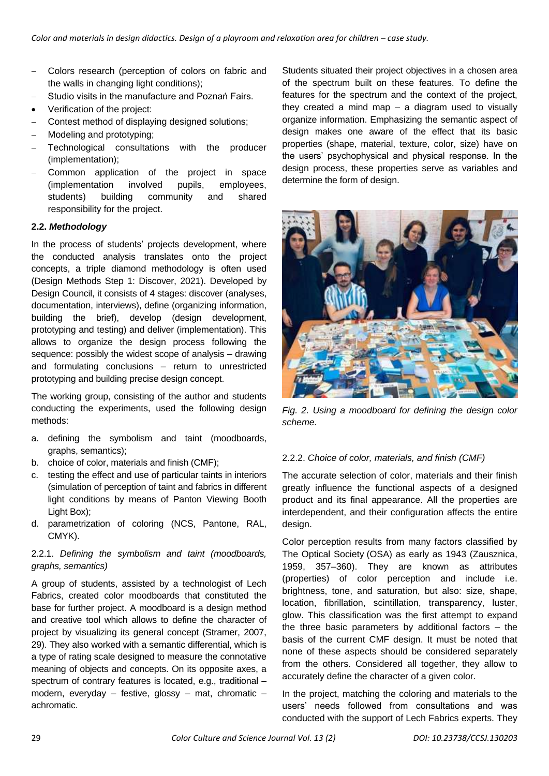- Colors research (perception of colors on fabric and the walls in changing light conditions);
- Studio visits in the manufacture and Poznań Fairs. Verification of the project:
- Contest method of displaying designed solutions;
- Modeling and prototyping;
- Technological consultations with the producer (implementation);
- Common application of the project in space (implementation involved pupils, employees, students) building community and shared responsibility for the project.

#### **2.2.** *Methodology*

In the process of students' projects development, where the conducted analysis translates onto the project concepts, a triple diamond methodology is often used (Design Methods Step 1: Discover, 2021). Developed by Design Council, it consists of 4 stages: discover (analyses, documentation, interviews), define (organizing information, building the brief), develop (design development, prototyping and testing) and deliver (implementation). This allows to organize the design process following the sequence: possibly the widest scope of analysis – drawing and formulating conclusions – return to unrestricted prototyping and building precise design concept.

The working group, consisting of the author and students conducting the experiments, used the following design methods:

- a. defining the symbolism and taint (moodboards, graphs, semantics);
- b. choice of color, materials and finish (CMF);
- c. testing the effect and use of particular taints in interiors (simulation of perception of taint and fabrics in different light conditions by means of Panton Viewing Booth Light Box);
- d. parametrization of coloring (NCS, Pantone, RAL, CMYK).

### 2.2.1. *Defining the symbolism and taint (moodboards, graphs, semantics)*

A group of students, assisted by a technologist of Lech Fabrics, created color moodboards that constituted the base for further project. A moodboard is a design method and creative tool which allows to define the character of project by visualizing its general concept (Stramer, 2007, 29). They also worked with a semantic differential, which is a type of rating scale designed to measure the connotative meaning of objects and concepts. On its opposite axes, a spectrum of contrary features is located, e.g., traditional – modern, everyday – festive, glossy – mat, chromatic – achromatic.

Students situated their project objectives in a chosen area of the spectrum built on these features. To define the features for the spectrum and the context of the project, they created a mind map – a diagram used to visually organize information. Emphasizing the semantic aspect of design makes one aware of the effect that its basic properties (shape, material, texture, color, size) have on the users' psychophysical and physical response. In the design process, these properties serve as variables and determine the form of design.



*Fig. 2. Using a moodboard for defining the design color scheme.*

#### 2.2.2. *Choice of color, materials, and finish (CMF)*

The accurate selection of color, materials and their finish greatly influence the functional aspects of a designed product and its final appearance. All the properties are interdependent, and their configuration affects the entire design.

Color perception results from many factors classified by The Optical Society (OSA) as early as 1943 (Zausznica, 1959, 357–360). They are known as attributes (properties) of color perception and include i.e. brightness, tone, and saturation, but also: size, shape, location, fibrillation, scintillation, transparency, luster, glow. This classification was the first attempt to expand the three basic parameters by additional factors – the basis of the current CMF design. It must be noted that none of these aspects should be considered separately from the others. Considered all together, they allow to accurately define the character of a given color.

In the project, matching the coloring and materials to the users' needs followed from consultations and was conducted with the support of Lech Fabrics experts. They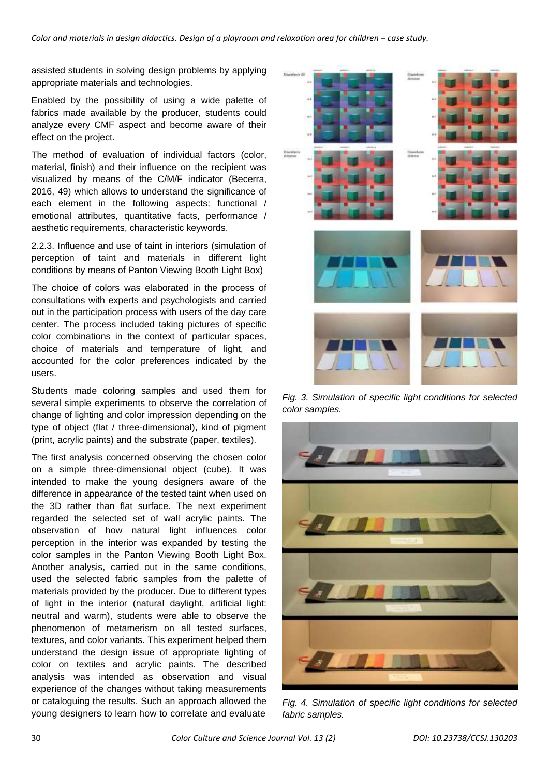assisted students in solving design problems by applying appropriate materials and technologies.

Enabled by the possibility of using a wide palette of fabrics made available by the producer, students could analyze every CMF aspect and become aware of their effect on the project.

The method of evaluation of individual factors (color, material, finish) and their influence on the recipient was visualized by means of the C/M/F indicator (Becerra, 2016, 49) which allows to understand the significance of each element in the following aspects: functional / emotional attributes, quantitative facts, performance / aesthetic requirements, characteristic keywords.

2.2.3. Influence and use of taint in interiors (simulation of perception of taint and materials in different light conditions by means of Panton Viewing Booth Light Box)

The choice of colors was elaborated in the process of consultations with experts and psychologists and carried out in the participation process with users of the day care center. The process included taking pictures of specific color combinations in the context of particular spaces, choice of materials and temperature of light, and accounted for the color preferences indicated by the users.

Students made coloring samples and used them for several simple experiments to observe the correlation of change of lighting and color impression depending on the type of object (flat / three-dimensional), kind of pigment (print, acrylic paints) and the substrate (paper, textiles).

The first analysis concerned observing the chosen color on a simple three-dimensional object (cube). It was intended to make the young designers aware of the difference in appearance of the tested taint when used on the 3D rather than flat surface. The next experiment regarded the selected set of wall acrylic paints. The observation of how natural light influences color perception in the interior was expanded by testing the color samples in the Panton Viewing Booth Light Box. Another analysis, carried out in the same conditions, used the selected fabric samples from the palette of materials provided by the producer. Due to different types of light in the interior (natural daylight, artificial light: neutral and warm), students were able to observe the phenomenon of metamerism on all tested surfaces, textures, and color variants. This experiment helped them understand the design issue of appropriate lighting of color on textiles and acrylic paints. The described analysis was intended as observation and visual experience of the changes without taking measurements or cataloguing the results. Such an approach allowed the young designers to learn how to correlate and evaluate



*Fig. 3. Simulation of specific light conditions for selected color samples.*



*Fig. 4. Simulation of specific light conditions for selected fabric samples.*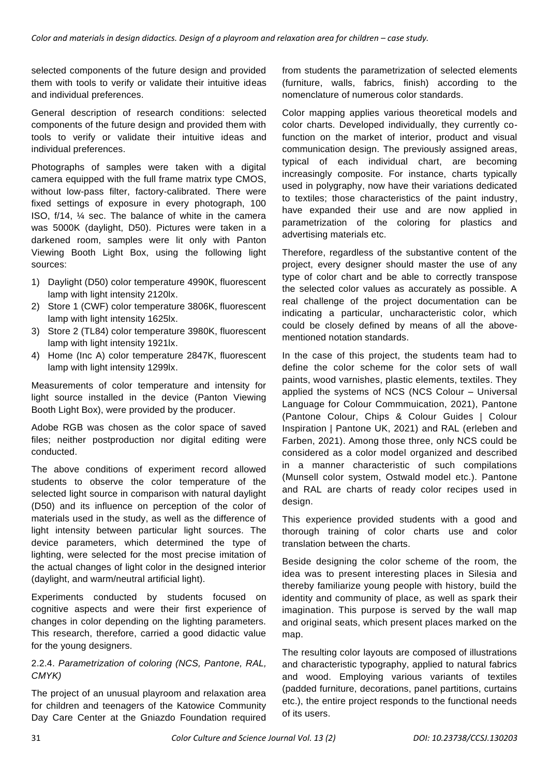selected components of the future design and provided them with tools to verify or validate their intuitive ideas and individual preferences.

General description of research conditions: selected components of the future design and provided them with tools to verify or validate their intuitive ideas and individual preferences.

Photographs of samples were taken with a digital camera equipped with the full frame matrix type CMOS, without low-pass filter, factory-calibrated. There were fixed settings of exposure in every photograph, 100 ISO, f/14, ¼ sec. The balance of white in the camera was 5000K (daylight, D50). Pictures were taken in a darkened room, samples were lit only with Panton Viewing Booth Light Box, using the following light sources:

- 1) Daylight (D50) color temperature 4990K, fluorescent lamp with light intensity 2120lx.
- 2) Store 1 (CWF) color temperature 3806K, fluorescent lamp with light intensity 1625lx.
- 3) Store 2 (TL84) color temperature 3980K, fluorescent lamp with light intensity 1921lx.
- 4) Home (Inc A) color temperature 2847K, fluorescent lamp with light intensity 1299lx.

Measurements of color temperature and intensity for light source installed in the device (Panton Viewing Booth Light Box), were provided by the producer.

Adobe RGB was chosen as the color space of saved files; neither postproduction nor digital editing were conducted.

The above conditions of experiment record allowed students to observe the color temperature of the selected light source in comparison with natural daylight (D50) and its influence on perception of the color of materials used in the study, as well as the difference of light intensity between particular light sources. The device parameters, which determined the type of lighting, were selected for the most precise imitation of the actual changes of light color in the designed interior (daylight, and warm/neutral artificial light).

Experiments conducted by students focused on cognitive aspects and were their first experience of changes in color depending on the lighting parameters. This research, therefore, carried a good didactic value for the young designers.

#### 2.2.4. *Parametrization of coloring (NCS, Pantone, RAL, CMYK)*

The project of an unusual playroom and relaxation area for children and teenagers of the Katowice Community Day Care Center at the Gniazdo Foundation required from students the parametrization of selected elements (furniture, walls, fabrics, finish) according to the nomenclature of numerous color standards.

Color mapping applies various theoretical models and color charts. Developed individually, they currently cofunction on the market of interior, product and visual communication design. The previously assigned areas, typical of each individual chart, are becoming increasingly composite. For instance, charts typically used in polygraphy, now have their variations dedicated to textiles; those characteristics of the paint industry, have expanded their use and are now applied in parametrization of the coloring for plastics and advertising materials etc.

Therefore, regardless of the substantive content of the project, every designer should master the use of any type of color chart and be able to correctly transpose the selected color values as accurately as possible. A real challenge of the project documentation can be indicating a particular, uncharacteristic color, which could be closely defined by means of all the abovementioned notation standards.

In the case of this project, the students team had to define the color scheme for the color sets of wall paints, wood varnishes, plastic elements, textiles. They applied the systems of NCS (NCS Colour – Universal Language for Colour Commmuication, 2021), Pantone (Pantone Colour, Chips & Colour Guides | Colour Inspiration | Pantone UK, 2021) and RAL (erleben and Farben, 2021). Among those three, only NCS could be considered as a color model organized and described in a manner characteristic of such compilations (Munsell color system, Ostwald model etc.). Pantone and RAL are charts of ready color recipes used in design.

This experience provided students with a good and thorough training of color charts use and color translation between the charts.

Beside designing the color scheme of the room, the idea was to present interesting places in Silesia and thereby familiarize young people with history, build the identity and community of place, as well as spark their imagination. This purpose is served by the wall map and original seats, which present places marked on the map.

The resulting color layouts are composed of illustrations and characteristic typography, applied to natural fabrics and wood. Employing various variants of textiles (padded furniture, decorations, panel partitions, curtains etc.), the entire project responds to the functional needs of its users.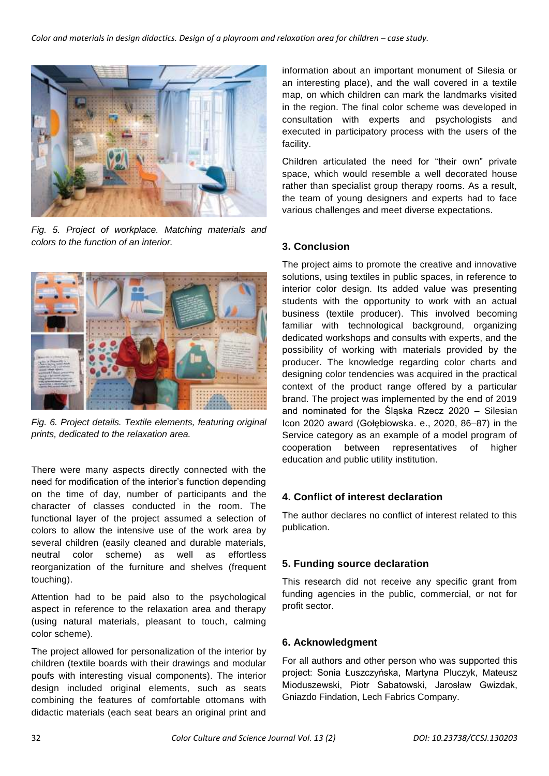

*Fig. 5. Project of workplace. Matching materials and colors to the function of an interior.*



*Fig. 6. Project details. Textile elements, featuring original prints, dedicated to the relaxation area.*

There were many aspects directly connected with the need for modification of the interior's function depending on the time of day, number of participants and the character of classes conducted in the room. The functional layer of the project assumed a selection of colors to allow the intensive use of the work area by several children (easily cleaned and durable materials, neutral color scheme) as well as effortless reorganization of the furniture and shelves (frequent touching).

Attention had to be paid also to the psychological aspect in reference to the relaxation area and therapy (using natural materials, pleasant to touch, calming color scheme).

The project allowed for personalization of the interior by children (textile boards with their drawings and modular poufs with interesting visual components). The interior design included original elements, such as seats combining the features of comfortable ottomans with didactic materials (each seat bears an original print and

information about an important monument of Silesia or an interesting place), and the wall covered in a textile map, on which children can mark the landmarks visited in the region. The final color scheme was developed in consultation with experts and psychologists and executed in participatory process with the users of the facility.

Children articulated the need for "their own" private space, which would resemble a well decorated house rather than specialist group therapy rooms. As a result, the team of young designers and experts had to face various challenges and meet diverse expectations.

### **3. Conclusion**

The project aims to promote the creative and innovative solutions, using textiles in public spaces, in reference to interior color design. Its added value was presenting students with the opportunity to work with an actual business (textile producer). This involved becoming familiar with technological background, organizing dedicated workshops and consults with experts, and the possibility of working with materials provided by the producer. The knowledge regarding color charts and designing color tendencies was acquired in the practical context of the product range offered by a particular brand. The project was implemented by the end of 2019 and nominated for the Śląska Rzecz 2020 – Silesian Icon 2020 award (Gołębiowska. e., 2020, 86–87) in the Service category as an example of a model program of cooperation between representatives of higher education and public utility institution.

#### **4. Conflict of interest declaration**

The author declares no conflict of interest related to this publication.

#### **5. Funding source declaration**

This research did not receive any specific grant from funding agencies in the public, commercial, or not for profit sector.

#### **6. Acknowledgment**

For all authors and other person who was supported this project: Sonia Łuszczyńska, Martyna Pluczyk, Mateusz Mioduszewski, Piotr Sabatowski, Jarosław Gwizdak, Gniazdo Findation, Lech Fabrics Company.